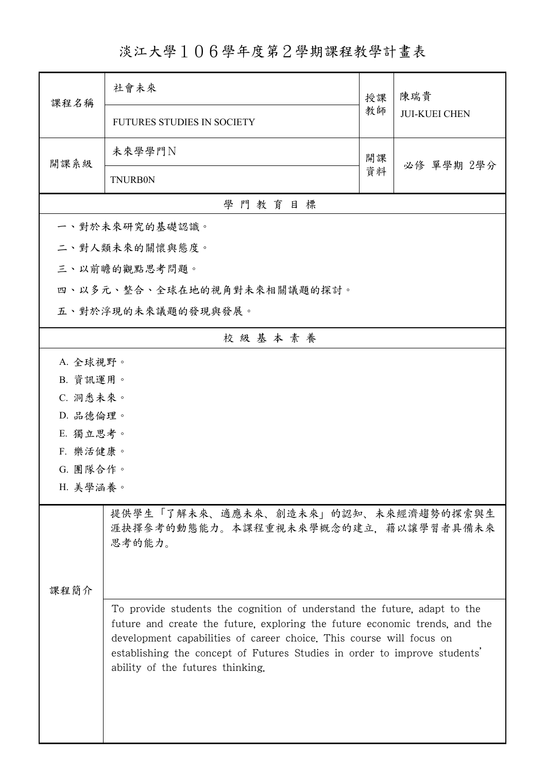## 淡江大學106學年度第2學期課程教學計畫表

| 授課<br>課程名稱<br>教師<br><b>JUI-KUEI CHEN</b><br><b>FUTURES STUDIES IN SOCIETY</b><br>未來學學門N<br>開課<br>開課系級<br>必修 單學期 2學分<br>資料<br><b>TNURB0N</b><br>學門教育目標<br>一、對於未來研究的基礎認識。<br>二、對人類未來的關懷與態度。<br>三、以前瞻的觀點思考問題。<br>四、以多元、整合、全球在地的視角對未來相關議題的探討。<br>五、對於浮現的未來議題的發現與發展。<br>校級基本素養<br>A. 全球視野。<br>B. 資訊運用。<br>C. 洞悉未來。<br>D. 品德倫理。<br>E. 獨立思考。<br>F. 樂活健康。<br>G. 團隊合作。<br>H. 美學涵養。 |  |  |  |  |  |
|---------------------------------------------------------------------------------------------------------------------------------------------------------------------------------------------------------------------------------------------------------------------------------------------------------------------------------------------------------------------------|--|--|--|--|--|
|                                                                                                                                                                                                                                                                                                                                                                           |  |  |  |  |  |
|                                                                                                                                                                                                                                                                                                                                                                           |  |  |  |  |  |
|                                                                                                                                                                                                                                                                                                                                                                           |  |  |  |  |  |
|                                                                                                                                                                                                                                                                                                                                                                           |  |  |  |  |  |
|                                                                                                                                                                                                                                                                                                                                                                           |  |  |  |  |  |
|                                                                                                                                                                                                                                                                                                                                                                           |  |  |  |  |  |
|                                                                                                                                                                                                                                                                                                                                                                           |  |  |  |  |  |
|                                                                                                                                                                                                                                                                                                                                                                           |  |  |  |  |  |
|                                                                                                                                                                                                                                                                                                                                                                           |  |  |  |  |  |
|                                                                                                                                                                                                                                                                                                                                                                           |  |  |  |  |  |
|                                                                                                                                                                                                                                                                                                                                                                           |  |  |  |  |  |
|                                                                                                                                                                                                                                                                                                                                                                           |  |  |  |  |  |
|                                                                                                                                                                                                                                                                                                                                                                           |  |  |  |  |  |
|                                                                                                                                                                                                                                                                                                                                                                           |  |  |  |  |  |
|                                                                                                                                                                                                                                                                                                                                                                           |  |  |  |  |  |
|                                                                                                                                                                                                                                                                                                                                                                           |  |  |  |  |  |
|                                                                                                                                                                                                                                                                                                                                                                           |  |  |  |  |  |
|                                                                                                                                                                                                                                                                                                                                                                           |  |  |  |  |  |
| 提供學生「了解未來、適應未來、創造未來」的認知、未來經濟趨勢的探索與生<br>涯抉擇參考的動態能力。本課程重視未來學概念的建立,藉以讓學習者具備未來<br>思考的能力。                                                                                                                                                                                                                                                                                      |  |  |  |  |  |
| 课程简介                                                                                                                                                                                                                                                                                                                                                                      |  |  |  |  |  |
| To provide students the cognition of understand the future, adapt to the<br>future and create the future, exploring the future economic trends, and the<br>development capabilities of career choice. This course will focus on<br>establishing the concept of Futures Studies in order to improve students'<br>ability of the futures thinking.                          |  |  |  |  |  |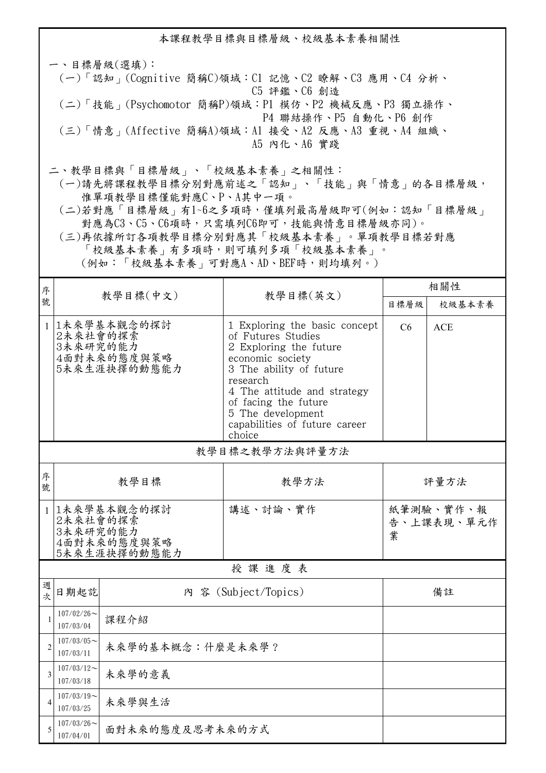本課程教學目標與目標層級、校級基本素養相關性 一、目標層級(選填): (一)「認知」(Cognitive 簡稱C)領域:C1 記憶、C2 瞭解、C3 應用、C4 分析、 C5 評鑑、C6 創造 (二)「技能」(Psychomotor 簡稱P)領域:P1 模仿、P2 機械反應、P3 獨立操作、 P4 聯結操作、P5 自動化、P6 創作 (三)「情意」(Affective 簡稱A)領域:A1 接受、A2 反應、A3 重視、A4 組織、 A5 內化、A6 實踐 二、教學目標與「目標層級」、「校級基本素養」之相關性:

 (一)請先將課程教學目標分別對應前述之「認知」、「技能」與「情意」的各目標層級, 惟單項教學目標僅能對應C、P、A其中一項。

 (二)若對應「目標層級」有1~6之多項時,僅填列最高層級即可(例如:認知「目標層級」 對應為C3、C5、C6項時,只需填列C6即可,技能與情意目標層級亦同)。

 (三)再依據所訂各項教學目標分別對應其「校級基本素養」。單項教學目標若對應 「校級基本素養」有多項時,則可填列多項「校級基本素養」。 (例如:「校級基本素養」可對應A、AD、BEF時,則均填列。)

| 序              |                                                                      |                  |                                                                                                                                                                                                                                                                 | 相關性                          |            |  |  |  |
|----------------|----------------------------------------------------------------------|------------------|-----------------------------------------------------------------------------------------------------------------------------------------------------------------------------------------------------------------------------------------------------------------|------------------------------|------------|--|--|--|
| 號              | 教學目標(中文)                                                             |                  | 教學目標(英文)                                                                                                                                                                                                                                                        | 目標層級                         | 校級基本素養     |  |  |  |
|                | 1 1未來學基本觀念的探討<br>2未來社會的探索<br>3未來研究的能力<br>4面對未來的態度與策略<br>5未來生涯抉擇的動態能力 |                  | 1 Exploring the basic concept<br>of Futures Studies<br>2 Exploring the future<br>economic society<br>3 The ability of future<br>research<br>4 The attitude and strategy<br>of facing the future<br>5 The development<br>capabilities of future career<br>choice | C <sub>6</sub>               | <b>ACE</b> |  |  |  |
|                | 教學目標之教學方法與評量方法                                                       |                  |                                                                                                                                                                                                                                                                 |                              |            |  |  |  |
| 序<br>號         | 教學目標                                                                 |                  | 教學方法                                                                                                                                                                                                                                                            | 評量方法                         |            |  |  |  |
|                | 1 1未來學基本觀念的探討<br>2未來社會的探索<br>3未來研究的能力<br>4面對未來的態度與策略<br>5未來生涯抉擇的動態能力 |                  | 講述、討論、實作                                                                                                                                                                                                                                                        | 紙筆測驗、實作、報<br>告、上課表現、單元作<br>業 |            |  |  |  |
| 授課進度表          |                                                                      |                  |                                                                                                                                                                                                                                                                 |                              |            |  |  |  |
| 週<br>次         | 日期起訖<br>內 容 (Subject/Topics)                                         |                  |                                                                                                                                                                                                                                                                 | 備註                           |            |  |  |  |
| $\mathbf{1}$   | $107/02/26$ ~<br>107/03/04                                           | 課程介紹             |                                                                                                                                                                                                                                                                 |                              |            |  |  |  |
| $\overline{2}$ | $107/03/05$ ~<br>107/03/11                                           | 未來學的基本概念:什麼是未來學? |                                                                                                                                                                                                                                                                 |                              |            |  |  |  |
| 3              | $107/03/12$ ~<br>107/03/18                                           | 未來學的意義           |                                                                                                                                                                                                                                                                 |                              |            |  |  |  |
| 4              | $107/03/19$ ~<br>107/03/25                                           | 未來學與生活           |                                                                                                                                                                                                                                                                 |                              |            |  |  |  |
| 5              | $107/03/26$ ~<br>面對未來的態度及思考未來的方式<br>107/04/01                        |                  |                                                                                                                                                                                                                                                                 |                              |            |  |  |  |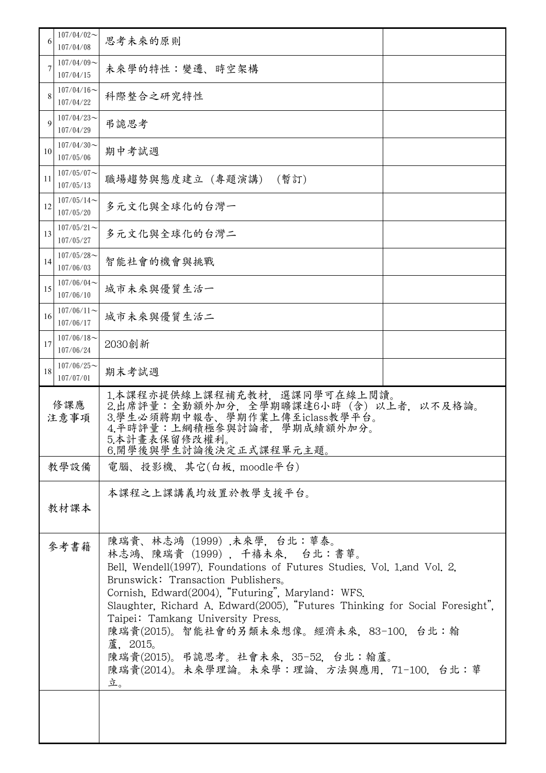| $107/04/02$ ~<br>107/04/08    | 思考未來的原則                                                                                                                                                                                                                                                                                                                                                                                                                                                                                           |  |  |  |  |
|-------------------------------|---------------------------------------------------------------------------------------------------------------------------------------------------------------------------------------------------------------------------------------------------------------------------------------------------------------------------------------------------------------------------------------------------------------------------------------------------------------------------------------------------|--|--|--|--|
| $107/04/09$ ~<br>107/04/15    | 未來學的特性:變遷、時空架構                                                                                                                                                                                                                                                                                                                                                                                                                                                                                    |  |  |  |  |
| $107/04/16 \sim$<br>107/04/22 | 科際整合之研究特性                                                                                                                                                                                                                                                                                                                                                                                                                                                                                         |  |  |  |  |
| $107/04/23$ ~<br>107/04/29    | 弔詭思考                                                                                                                                                                                                                                                                                                                                                                                                                                                                                              |  |  |  |  |
| $107/04/30$ ~<br>107/05/06    | 期中考試週                                                                                                                                                                                                                                                                                                                                                                                                                                                                                             |  |  |  |  |
| $107/05/07$ ~<br>107/05/13    | 職場趨勢與態度建立 (專題演講)<br>(暫訂)                                                                                                                                                                                                                                                                                                                                                                                                                                                                          |  |  |  |  |
| $107/05/14$ ~<br>107/05/20    | 多元文化與全球化的台灣一                                                                                                                                                                                                                                                                                                                                                                                                                                                                                      |  |  |  |  |
| $107/05/21$ ~<br>107/05/27    | 多元文化與全球化的台灣二                                                                                                                                                                                                                                                                                                                                                                                                                                                                                      |  |  |  |  |
| $107/05/28$ ~<br>107/06/03    | 智能社會的機會與挑戰                                                                                                                                                                                                                                                                                                                                                                                                                                                                                        |  |  |  |  |
| $107/06/04$ ~<br>107/06/10    | 城市未來與優質生活一                                                                                                                                                                                                                                                                                                                                                                                                                                                                                        |  |  |  |  |
| $107/06/11$ ~<br>107/06/17    | 城市未來與優質生活二                                                                                                                                                                                                                                                                                                                                                                                                                                                                                        |  |  |  |  |
| $107/06/18$ ~<br>107/06/24    | 2030創新                                                                                                                                                                                                                                                                                                                                                                                                                                                                                            |  |  |  |  |
| $107/06/25$ ~<br>107/07/01    | 期末考試週                                                                                                                                                                                                                                                                                                                                                                                                                                                                                             |  |  |  |  |
|                               | 1.本課程亦提供線上課程補充教材,選課同學可在線上閲讀。<br>二出席評量:全勤額外加分,全學期曠課達6小時(含)以上者,3.學生必須將期中報告、學期作業上傳至iclass教學平台。<br>3.學生必須將期中報告、學期作業上傳至iclass教學平台。<br>4.平時評量:上網積極參與討論者,學期成績額外加分。<br>以不及格論。<br>5.本計畫表保留修改權利。<br>6.開學後與學生討論後決定正式課程單元主題。                                                                                                                                                                                                                                                                                  |  |  |  |  |
|                               | 電腦、投影機、其它(白板, moodle平台)                                                                                                                                                                                                                                                                                                                                                                                                                                                                           |  |  |  |  |
|                               | 本課程之上課講義均放置於教學支援平台。                                                                                                                                                                                                                                                                                                                                                                                                                                                                               |  |  |  |  |
|                               | 陳瑞貴、林志鴻(1999).未來學,台北:華泰。<br>林志鴻、陳瑞貴 (1999), 千禧未來, 台北:書華。<br>Bell, Wendell(1997). Foundations of Futures Studies. Vol. 1 and Vol. 2,<br>Brunswick: Transaction Publishers.<br>Cornish, Edward(2004), "Futuring", Maryland: WFS.<br>Slaughter, Richard A. Edward(2005), "Futures Thinking for Social Foresight",<br>Taipei: Tamkang University Press.<br>陳瑞貴(2015)。智能社會的另類未來想像。經濟未來,83-100,台北:翰<br>蘆, 2015。<br>陳瑞貴(2015)。弔詭思考。社會未來,35-52,台北:翰蘆。<br>陳瑞貴(2014)。未來學理論。未來學:理論、方法與應用, 71-100, 台北:華<br>立。 |  |  |  |  |
|                               | 6<br>7<br>8<br>9<br>10<br>11<br>12<br>13<br>14<br>15<br>16<br>17<br>18<br>修課應<br>注意事項<br>教學設備<br>教材課本<br>參考書籍                                                                                                                                                                                                                                                                                                                                                                                     |  |  |  |  |